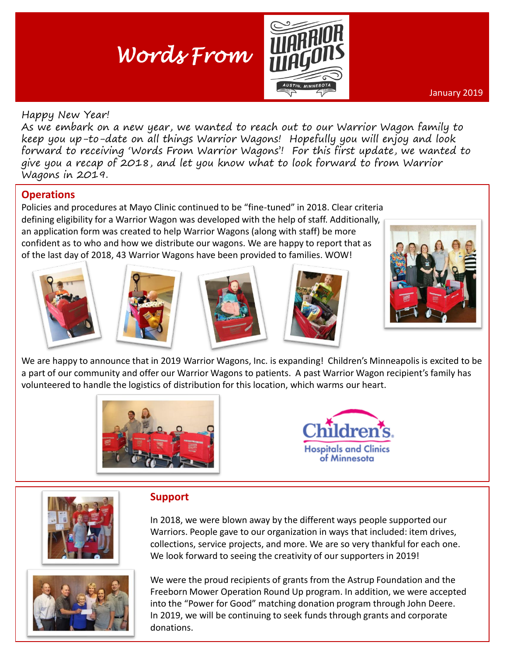# *Words From*



January 2019

#### Happy New Year!

As we embark on a new year, we wanted to reach out to our Warrior Wagon family to keep you up-to-date on all things Warrior Wagons! Hopefully you will enjoy and look forward to receiving 'Words From Warrior Wagons'! For this first update, we wanted to give you a recap of 2018, and let you know what to look forward to from Warrior Wagons in 2019.

# **Operations**

Policies and procedures at Mayo Clinic continued to be "fine-tuned" in 2018. Clear criteria defining eligibility for a Warrior Wagon was developed with the help of staff. Additionally, an application form was created to help Warrior Wagons (along with staff) be more confident as to who and how we distribute our wagons. We are happy to report that as of the last day of 2018, 43 Warrior Wagons have been provided to families. WOW!











We are happy to announce that in 2019 Warrior Wagons, Inc. is expanding! Children's Minneapolis is excited to be a part of our community and offer our Warrior Wagons to patients. A past Warrior Wagon recipient's family has volunteered to handle the logistics of distribution for this location, which warms our heart.







# **Support**

In 2018, we were blown away by the different ways people supported our Warriors. People gave to our organization in ways that included: item drives, collections, service projects, and more. We are so very thankful for each one. We look forward to seeing the creativity of our supporters in 2019!



We were the proud recipients of grants from the Astrup Foundation and the Freeborn Mower Operation Round Up program. In addition, we were accepted into the "Power for Good" matching donation program through John Deere. In 2019, we will be continuing to seek funds through grants and corporate donations.